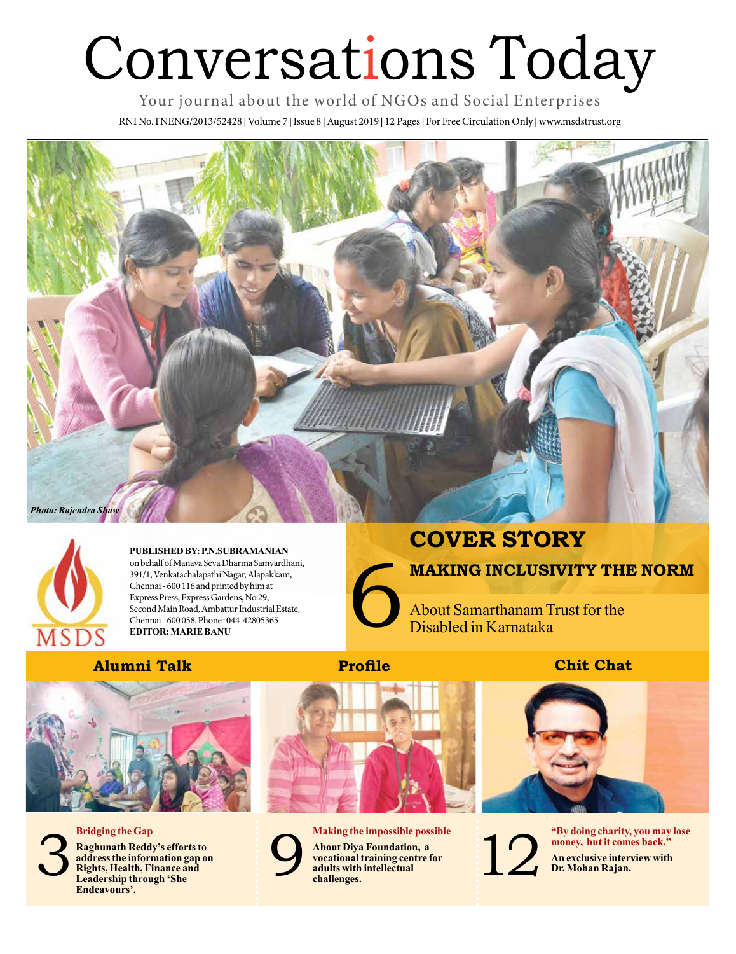# Conversations Today

Your journal about the world of NGOs and Social Enterprises RNI No.TNENG/2013/52428 **|** Volume 7 **|** Issue 8 **|** August 2019 **|** 12 Pages **|** For Free Circulation Only **|** www.msdstrust.org





#### **PUBLISHED BY: P.N.SUBRAMANIAN**  on behalf of Manava Seva Dharma Samvardhani, 391/1, Venkatachalapathi Nagar, Alapakkam, Chennai - 600 116 and printed by him at Express Press, Express Gardens, No.29, Second Main Road, Ambattur Industrial Estate, Chennai - 600 058. Phone : 044-42805365 **EDITOR: MARIE BANU**

### **Alumni Talk Profile Chit Chat**













### **"By doing charity, you may lose money, but it comes back."**

### **Bridging the Gap**

**address the information gap on Rights, Health, Finance and Leadership through 'She Endeavours'.**

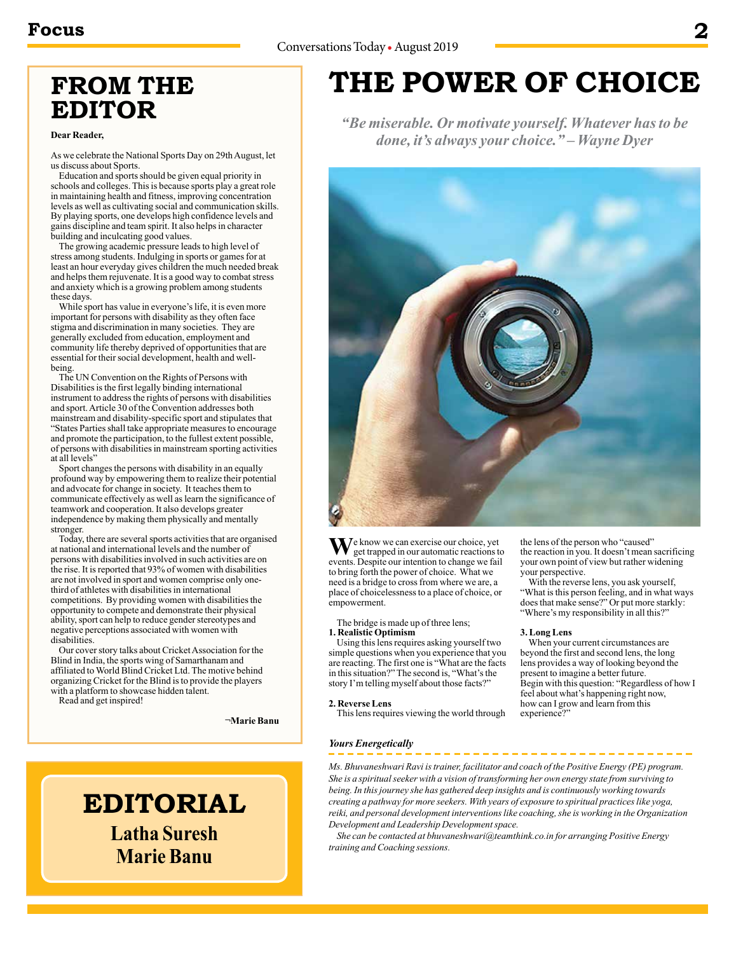## **FROM THE EDITOR**

**Dear Reader,**

As we celebrate the National Sports Day on 29th August, let us discuss about Sports.

Education and sports should be given equal priority in schools and colleges. This is because sports play a great role in maintaining health and fitness, improving concentration levels as well as cultivating social and communication skills. By playing sports, one develops high confidence levels and gains discipline and team spirit. It also helps in character building and inculcating good values.

The growing academic pressure leads to high level of stress among students. Indulging in sports or games for at least an hour everyday gives children the much needed break and helps them rejuvenate. It is a good way to combat stress and anxiety which is a growing problem among students these days.

While sport has value in everyone's life, it is even more important for persons with disability as they often face stigma and discrimination in many societies. They are generally excluded from education, employment and community life thereby deprived of opportunities that are essential for their social development, health and wellbeing.

The UN Convention on the Rights of Persons with Disabilities is the first legally binding international instrument to address the rights of persons with disabilities and sport. Article 30 of the Convention addresses both mainstream and disability-specific sport and stipulates that "States Parties shall take appropriate measures to encourage and promote the participation, to the fullest extent possible, of persons with disabilities in mainstream sporting activities at all levels"

Sport changes the persons with disability in an equally profound way by empowering them to realize their potential and advocate for change in society. It teaches them to communicate effectively as well as learn the significance of teamwork and cooperation. It also develops greater independence by making them physically and mentally stronger.

Today, there are several sports activities that are organised at national and international levels and the number of persons with disabilities involved in such activities are on the rise. It is reported that 93% of women with disabilities are not involved in sport and women comprise only onethird of athletes with disabilities in international competitions. By providing women with disabilities the opportunity to compete and demonstrate their physical ability, sport can help to reduce gender stereotypes and negative perceptions associated with women with disabilities.

Our cover story talks about Cricket Association for the Blind in India, the sports wing of Samarthanam and affiliated to World Blind Cricket Ltd. The motive behind organizing Cricket for the Blind is to provide the players with a platform to showcase hidden talent.

Read and get inspired!

**¬Marie Banu**



## **THE POWER OF CHOICE**

*"Be miserable. Or motivate yourself. Whatever has to be done, it's always your choice." – Wayne Dyer*



We know we can exercise our choice, yet get trapped in our automatic reactions to events. Despite our intention to change we fail to bring forth the power of choice. What we need is a bridge to cross from where we are, a place of choicelessness to a place of choice, or empowerment.

The bridge is made up of three lens; **1. Realistic Optimism**

Using this lens requires asking yourself two simple questions when you experience that you are reacting. The first one is "What are the facts in this situation?" The second is, "What's the story I'm telling myself about those facts?"

#### **2. Reverse Lens**

This lens requires viewing the world through

the lens of the person who "caused" the reaction in you. It doesn't mean sacrificing your own point of view but rather widening your perspective.

With the reverse lens, you ask yourself, "What is this person feeling, and in what ways does that make sense?" Or put more starkly: "Where's my responsibility in all this?"

#### **3. Long Lens**

When your current circumstances are beyond the first and second lens, the long lens provides a way of looking beyond the present to imagine a better future. Begin with this question: "Regardless of how I feel about what's happening right now, how can I grow and learn from this experience?

#### *Yours Energetically*

*Ms. Bhuvaneshwari Ravi is trainer, facilitator and coach of the Positive Energy (PE) program. She is a spiritual seeker with a vision of transforming her own energy state from surviving to being. In this journey she has gathered deep insights and is continuously working towards creating a pathway for more seekers. With years of exposure to spiritual practices like yoga, reiki, and personal development interventions like coaching, she is working in the Organization Development and Leadership Development space.* 

*She can be contacted at bhuvaneshwari@teamthink.co.in for arranging Positive Energy training and Coaching sessions.*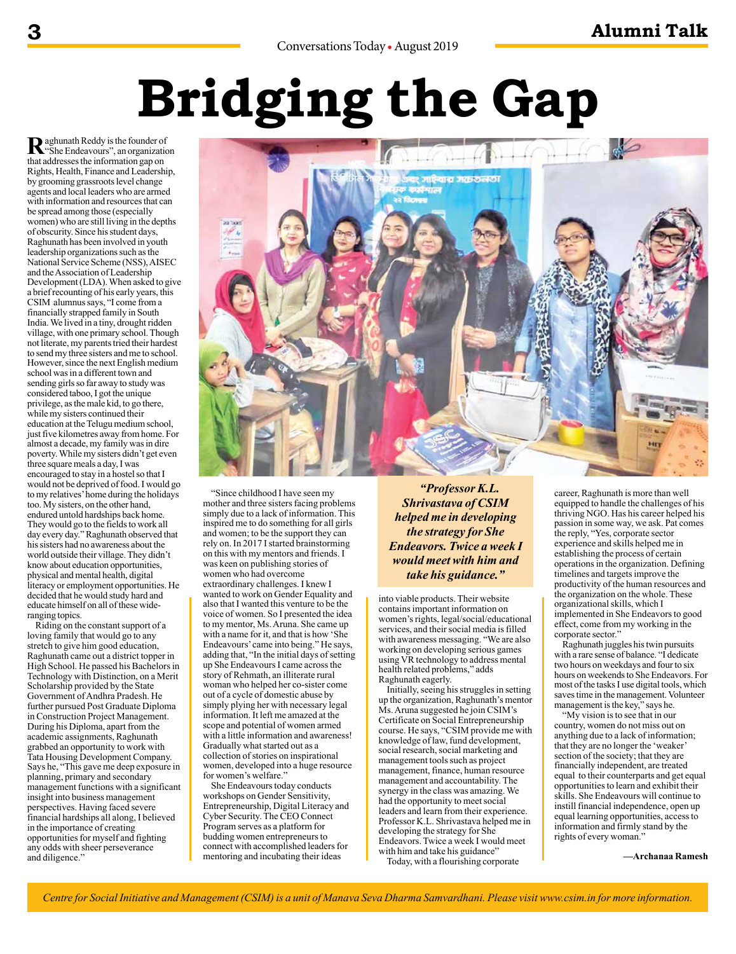# **Bridging the Gap**

**R**aghunath Reddy is the founder of<br>
"She Endeavours", an organization that addresses the information gap on Rights, Health, Finance and Leadership, by grooming grassroots level change agents and local leaders who are armed with information and resources that can be spread among those (especially women) who are still living in the depths of obscurity. Since his student days, Raghunath has been involved in youth leadership organizations such as the National Service Scheme (NSS), AISEC and the Association of Leadership Development (LDA). When asked to give a brief recounting of his early years, this CSIM alumnus says, "I come from a financially strapped family in South India. We lived in a tiny, drought ridden village, with one primary school. Though not literate, my parents tried their hardest to send my three sisters and me to school. However, since the next English medium school was in a different town and sending girls so far away to study was considered taboo, I got the unique privilege, as the male kid, to go there, while my sisters continued their education at the Telugu medium school, just five kilometres away from home. For almost a decade, my family was in dire poverty. While my sisters didn't get even three square meals a day, I was encouraged to stay in a hostel so that I would not be deprived of food. I would go to my relatives' home during the holidays too. My sisters, on the other hand, endured untold hardships back home. They would go to the fields to work all day every day." Raghunath observed that his sisters had no awareness about the world outside their village. They didn't know about education opportunities, physical and mental health, digital literacy or employment opportunities. He decided that he would study hard and educate himself on all of these wideranging topics.

Riding on the constant support of a loving family that would go to any stretch to give him good education, Raghunath came out a district topper in High School. He passed his Bachelors in Technology with Distinction, on a Merit Scholarship provided by the State Government of Andhra Pradesh. He further pursued Post Graduate Diploma in Construction Project Management. During his Diploma, apart from the academic assignments, Raghunath grabbed an opportunity to work with Tata Housing Development Company. Says he, "This gave me deep exposure in planning, primary and secondary management functions with a significant insight into business management perspectives. Having faced severe financial hardships all along, I believed in the importance of creating opportunities for myself and fighting any odds with sheer perseverance and diligence."



"Since childhood I have seen my mother and three sisters facing problems simply due to a lack of information. This inspired me to do something for all girls and women; to be the support they can rely on. In 2017 I started brainstorming on this with my mentors and friends. I was keen on publishing stories of women who had overcome extraordinary challenges. I knew I wanted to work on Gender Equality and also that I wanted this venture to be the voice of women. So I presented the idea to my mentor, Ms. Aruna. She came up with a name for it, and that is how 'She Endeavours' came into being." He says, adding that, "In the initial days of setting up She Endeavours I came across the story of Rehmath, an illiterate rural woman who helped her co-sister come out of a cycle of domestic abuse by simply plying her with necessary legal information. It left me amazed at the scope and potential of women armed with a little information and awareness! Gradually what started out as a collection of stories on inspirational women, developed into a huge resource for women's welfare.

She Endeavours today conducts workshops on Gender Sensitivity, Entrepreneurship, Digital Literacy and Cyber Security. The CEO Connect Program serves as a platform for budding women entrepreneurs to connect with accomplished leaders for mentoring and incubating their ideas

*"Professor K.L. Shrivastava of CSIM helped me in developing the strategy for She Endeavors. Twice a week I would meet with him and take his guidance."*

into viable products. Their website contains important information on women's rights, legal/social/educational services, and their social media is filled with awareness messaging. "We are also working on developing serious games using VR technology to address mental health related problems," adds Raghunath eagerly.

Initially, seeing his struggles in setting up the organization, Raghunath's mentor Ms. Aruna suggested he join CSIM's Certificate on Social Entrepreneurship course. He says, "CSIM provide me with knowledge of law, fund development, social research, social marketing and management tools such as project management, finance, human resource management and accountability. The synergy in the class was amazing. We had the opportunity to meet social leaders and learn from their experience. Professor K.L. Shrivastava helped me in developing the strategy for She Endeavors. Twice a week I would meet with him and take his guidance"

Today, with a flourishing corporate

career, Raghunath is more than well equipped to handle the challenges of his thriving NGO. Has his career helped his passion in some way, we ask. Pat comes the reply, "Yes, corporate sector experience and skills helped me in establishing the process of certain operations in the organization. Defining timelines and targets improve the productivity of the human resources and the organization on the whole. These organizational skills, which I implemented in She Endeavors to good effect, come from my working in the corporate sector."

Raghunath juggles his twin pursuits with a rare sense of balance. "I dedicate two hours on weekdays and four to six hours on weekends to She Endeavors. For most of the tasks I use digital tools, which saves time in the management. Volunteer management is the key," says he.

"My vision is to see that in our country, women do not miss out on anything due to a lack of information; that they are no longer the 'weaker' section of the society; that they are financially independent, are treated equal to their counterparts and get equal opportunities to learn and exhibit their skills. She Endeavours will continue to instill financial independence, open up equal learning opportunities, access to information and firmly stand by the rights of every woman."

**—Archanaa Ramesh**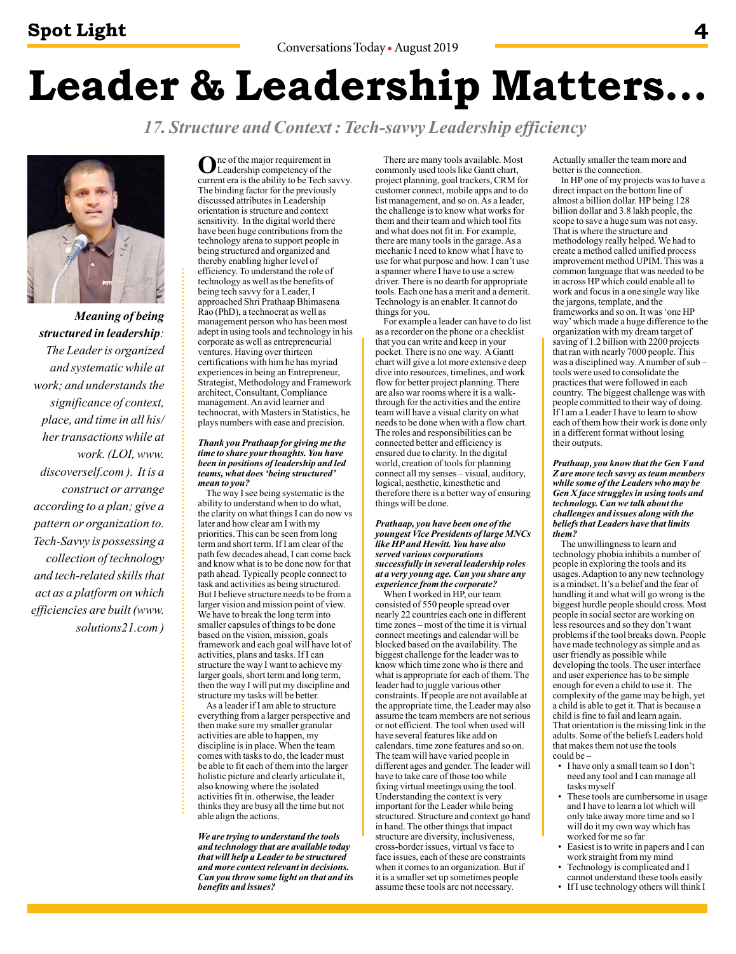# **Leader & Leadership Matters…**

*17. Structure and Context : Tech-savvy Leadership efficiency*



*Meaning of being structured in leadership: The Leader is organized and systematic while at work; and understands the significance of context, place, and time in all his/ her transactions while at work. (LOI, www. discoverself.com ). It is a construct or arrange according to a plan; give a pattern or organization to. Tech-Savvy is possessing a collection of technology and tech-related skills that act as a platform on which efficiencies are built (www. solutions21.com )*

One of the major requirement in<br>Leadership competency of the<br>sympatics is the ability to be Tash st current era is the ability to be Tech savvy. The binding factor for the previously discussed attributes in Leadership orientation is structure and context sensitivity. In the digital world there have been huge contributions from the technology arena to support people in being structured and organized and thereby enabling higher level of efficiency. To understand the role of technology as well as the benefits of being tech savvy for a Leader, I approached Shri Prathaap Bhimasena Rao (PhD), a technocrat as well as management person who has been most adept in using tools and technology in his corporate as well as entrepreneurial ventures. Having over thirteen certifications with him he has myriad experiences in being an Entrepreneur, Strategist, Methodology and Framework architect, Consultant, Compliance management. An avid learner and technocrat, with Masters in Statistics, he plays numbers with ease and precision.

#### *Thank you Prathaap for giving me the time to share your thoughts. You have been in positions of leadership and led teams, what does 'being structured' mean to you?*

The way I see being systematic is the ability to understand when to do what, the clarity on what things I can do now vs later and how clear am I with my priorities. This can be seen from long term and short term. If I am clear of the path few decades ahead, I can come back and know what is to be done now for that path ahead. Typically people connect to task and activities as being structured. But I believe structure needs to be from a larger vision and mission point of view. We have to break the long term into smaller capsules of things to be done based on the vision, mission, goals framework and each goal will have lot of activities, plans and tasks. If I can structure the way I want to achieve my larger goals, short term and long term, then the way I will put my discipline and structure my tasks will be better.

As a leader if I am able to structure everything from a larger perspective and then make sure my smaller granular activities are able to happen, my discipline is in place. When the team comes with tasks to do, the leader must be able to fit each of them into the larger holistic picture and clearly articulate it, also knowing where the isolated activities fit in. otherwise, the leader thinks they are busy all the time but not able align the actions.

*We are trying to understand the tools and technology that are available today that will help a Leader to be structured and more context relevant in decisions. Can you throw some light on that and its benefits and issues?* 

There are many tools available. Most commonly used tools like Gantt chart, project planning, goal trackers, CRM for customer connect, mobile apps and to do list management, and so on. As a leader, the challenge is to know what works for them and their team and which tool fits and what does not fit in. For example, there are many tools in the garage. As a mechanic I need to know what I have to use for what purpose and how. I can't use a spanner where I have to use a screw driver. There is no dearth for appropriate tools. Each one has a merit and a demerit. Technology is an enabler. It cannot do things for you.

For example a leader can have to do list as a recorder on the phone or a checklist that you can write and keep in your pocket. There is no one way. A Gantt chart will give a lot more extensive deep dive into resources, timelines, and work flow for better project planning. There are also war rooms where it is a walkthrough for the activities and the entire team will have a visual clarity on what needs to be done when with a flow chart. The roles and responsibilities can be connected better and efficiency is ensured due to clarity. In the digital world, creation of tools for planning connect all my senses – visual, auditory, logical, aesthetic, kinesthetic and therefore there is a better way of ensuring things will be done.

*Prathaap, you have been one of the youngest Vice Presidents of large MNCs like HP and Hewitt. You have also served various corporations successfully in several leadership roles at a very young age. Can you share any experience from the corporate?* 

When I worked in HP, our team consisted of 550 people spread over nearly 22 countries each one in different time zones – most of the time it is virtual connect meetings and calendar will be blocked based on the availability. The biggest challenge for the leader was to know which time zone who is there and what is appropriate for each of them. The leader had to juggle various other constraints. If people are not available at the appropriate time, the Leader may also assume the team members are not serious or not efficient. The tool when used will have several features like add on calendars, time zone features and so on. The team will have varied people in different ages and gender. The leader will have to take care of those too while fixing virtual meetings using the tool. Understanding the context is very important for the Leader while being structured. Structure and context go hand in hand. The other things that impact structure are diversity, inclusiveness, cross-border issues, virtual vs face to face issues, each of these are constraints when it comes to an organization. But if it is a smaller set up sometimes people assume these tools are not necessary.

Actually smaller the team more and better is the connection.

In HP one of my projects was to have a direct impact on the bottom line of almost a billion dollar. HP being 128 billion dollar and 3.8 lakh people, the scope to save a huge sum was not easy. That is where the structure and methodology really helped. We had to create a method called unified process improvement method UPIM. This was a common language that was needed to be in across HP which could enable all to work and focus in a one single way like the jargons, template, and the frameworks and so on. It was 'one HP way' which made a huge difference to the organization with my dream target of saving of 1.2 billion with 2200 projects that ran with nearly 7000 people. This was a disciplined way. A number of sub – tools were used to consolidate the practices that were followed in each country. The biggest challenge was with people committed to their way of doing. If I am a Leader I have to learn to show each of them how their work is done only in a different format without losing their outputs.

*Prathaap, you know that the Gen Y and Z are more tech savvy as team members while some of the Leaders who may be Gen X face struggles in using tools and technology. Can we talk about the challenges and issues along with the beliefs that Leaders have that limits them?* 

The unwillingness to learn and technology phobia inhibits a number of people in exploring the tools and its usages. Adaption to any new technology is a mindset. It's a belief and the fear of handling it and what will go wrong is the biggest hurdle people should cross. Most people in social sector are working on less resources and so they don't want problems if the tool breaks down. People have made technology as simple and as user friendly as possible while developing the tools. The user interface and user experience has to be simple enough for even a child to use it. The complexity of the game may be high, yet a child is able to get it. That is because a child is fine to fail and learn again. That orientation is the missing link in the adults. Some of the beliefs Leaders hold that makes them not use the tools could be –

- I have only a small team so I don't need any tool and I can manage all tasks myself
- These tools are cumbersome in usage and I have to learn a lot which will only take away more time and so I will do it my own way which has worked for me so far
- Easiest is to write in papers and I can work straight from my mind
- Technology is complicated and I cannot understand these tools easily
- If I use technology others will think I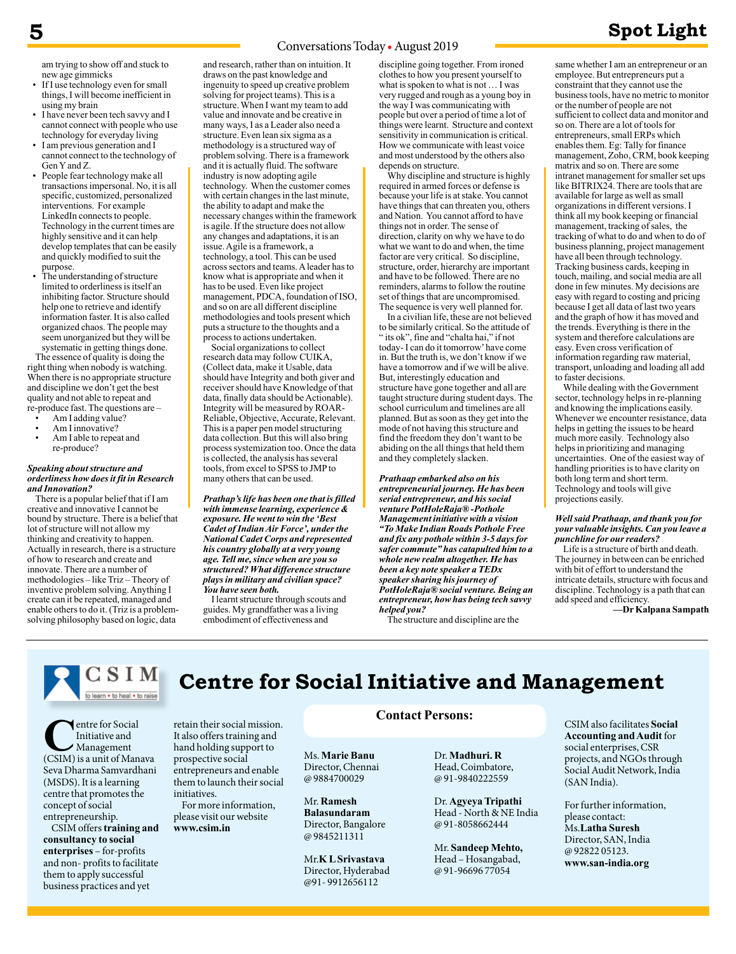#### Conversations Today • August 2019

am trying to show off and stuck to new age gimmicks

- If I use technology even for small things, I will become inefficient in using my brain
- I have never been tech savvy and I cannot connect with people who use technology for everyday living
- I am previous generation and I cannot connect to the technology of Gen Y and Z.
- People fear technology make all transactions impersonal. No, it is all specific, customized, personalized interventions. For example LinkedIn connects to people. Technology in the current times are highly sensitive and it can help develop templates that can be easily and quickly modified to suit the purpose.
- The understanding of structure limited to orderliness is itself an inhibiting factor. Structure should help one to retrieve and identify information faster. It is also called organized chaos. The people may seem unorganized but they will be systematic in getting things done.

The essence of quality is doing the right thing when nobody is watching. When there is no appropriate structure and discipline we don't get the best quality and not able to repeat and re-produce fast. The questions are –

- Am I adding value?
- Am I innovative?
- Am I able to repeat and re-produce?

#### *Speaking about structure and orderliness how does it fit in Research and Innovation?*

There is a popular belief that if I am creative and innovative I cannot be bound by structure. There is a belief that lot of structure will not allow my thinking and creativity to happen. Actually in research, there is a structure of how to research and create and innovate. There are a number of methodologies – like Triz – Theory of inventive problem solving. Anything I create can it be repeated, managed and enable others to do it. (Triz is a problemsolving philosophy based on logic, data

and research, rather than on intuition. It draws on the past knowledge and ingenuity to speed up creative problem solving for project teams). This is a structure. When I want my team to add value and innovate and be creative in many ways, I as a Leader also need a structure. Even lean six sigma as a methodology is a structured way of problem solving. There is a framework and it is actually fluid. The software industry is now adopting agile technology. When the customer comes with certain changes in the last minute, the ability to adapt and make the necessary changes within the framework is agile. If the structure does not allow any changes and adaptations, it is an issue. Agile is a framework, a technology, a tool. This can be used across sectors and teams. A leader has to know what is appropriate and when it has to be used. Even like project management, PDCA, foundation of ISO, and so on are all different discipline methodologies and tools present which puts a structure to the thoughts and a process to actions undertaken.

Social organizations to collect research data may follow CUIKA, (Collect data, make it Usable, data should have Integrity and both giver and receiver should have Knowledge of that data, finally data should be Actionable). Integrity will be measured by ROAR-Reliable, Objective, Accurate, Relevant. This is a paper pen model structuring data collection. But this will also bring process systemization too. Once the data is collected, the analysis has several tools, from excel to SPSS to JMP to many others that can be used.

*Prathap's life has been one that is filled with immense learning, experience & exposure. He went to win the 'Best Cadet of Indian Air Force', under the National Cadet Corps and represented his country globally at a very young age. Tell me, since when are you so structured? What difference structure plays in military and civilian space? You have seen both.* 

I learnt structure through scouts and guides. My grandfather was a living embodiment of effectiveness and

discipline going together. From ironed clothes to how you present yourself to what is spoken to what is not … I was very rugged and rough as a young boy in the way I was communicating with people but over a period of time a lot of things were learnt. Structure and context sensitivity in communication is critical. How we communicate with least voice and most understood by the others also depends on structure.

Why discipline and structure is highly required in armed forces or defense is because your life is at stake. You cannot have things that can threaten you, others and Nation. You cannot afford to have things not in order. The sense of direction, clarity on why we have to do what we want to do and when, the time factor are very critical. So discipline, structure, order, hierarchy are important and have to be followed. There are no reminders, alarms to follow the routine set of things that are uncompromised. The sequence is very well planned for.

In a civilian life, these are not believed to be similarly critical. So the attitude of " its ok", fine and "chalta hai," if not today- I can do it tomorrow' have come in. But the truth is, we don't know if we have a tomorrow and if we will be alive. But, interestingly education and structure have gone together and all are taught structure during student days. The school curriculum and timelines are all planned. But as soon as they get into the mode of not having this structure and find the freedom they don't want to be abiding on the all things that held them and they completely slacken.

*Prathaap embarked also on his entrepreneurial journey. He has been serial entrepreneur, and his social venture PotHoleRaja® -Pothole Management initiative with a vision "To Make Indian Roads Pothole Free and fix any pothole within 3-5 days for safer commute" has catapulted him to a whole new realm altogether. He has been a key note speaker a TEDx speaker sharing his journey of PotHoleRaja® social venture. Being an entrepreneur, how has being tech savvy helped you?* 

The structure and discipline are the

**Contact Persons:** 

## **5 Spot Light**

same whether I am an entrepreneur or an employee. But entrepreneurs put a constraint that they cannot use the business tools, have no metric to monitor or the number of people are not sufficient to collect data and monitor and so on. There are a lot of tools for entrepreneurs, small ERPs which enables them. Eg: Tally for finance management, Zoho, CRM, book keeping matrix and so on. There are some intranet management for smaller set ups like BITRIX24. There are tools that are available for large as well as small organizations in different versions. I think all my book keeping or financial management, tracking of sales, the tracking of what to do and when to do of business planning, project management have all been through technology. Tracking business cards, keeping in touch, mailing, and social media are all done in few minutes. My decisions are easy with regard to costing and pricing because I get all data of last two years and the graph of how it has moved and the trends. Everything is there in the system and therefore calculations are easy. Even cross verification of information regarding raw material, transport, unloading and loading all add to faster decisions.

While dealing with the Government sector, technology helps in re-planning and knowing the implications easily. Whenever we encounter resistance, data helps in getting the issues to be heard much more easily. Technology also helps in prioritizing and managing uncertainties. One of the easiest way of handling priorities is to have clarity on both long term and short term. Technology and tools will give projections easily.

#### *Well said Prathaap, and thank you for your valuable insights. Can you leave a punchline for our readers?*

Life is a structure of birth and death. The journey in between can be enriched with bit of effort to understand the intricate details, structure with focus and discipline. Technology is a path that can add speed and efficiency.

**—Dr Kalpana Sampath**



**C**entre for Social<br>
Initiative and<br>
(CSIM) is a unit of Manava Initiative and Management Seva Dharma Samvardhani (MSDS). It is a learning centre that promotes the concept of social entrepreneurship.

CSIM offers **training and consultancy to social enterprises** – for-profits and non- profits to facilitate them to apply successful business practices and yet

retain their social mission. It also offers training and hand holding support to prospective social entrepreneurs and enable them to launch their social initiatives.

For more information, please visit our website **www.csim.in**

Ms. **Marie Banu** Director, Chennai @ 9884700029

> Mr. **Ramesh Balasundaram**  Director, Bangalore @ 9845211311

Mr.**K L Srivastava** Director, Hyderabad @91- 9912656112

Dr. **Madhuri. R** Head, Coimbatore, @ 91-9840222559

Dr. **Agyeya Tripathi**  Head - North & NE India @ 91-8058662444

Mr. **Sandeep Mehto,** Head – Hosangabad, @ 91-96696 77054

CSIM also facilitates **Social Accounting and Audit** for social enterprises, CSR projects, and NGOs through Social Audit Network, India (SAN India).

For further information, please contact: Ms.**Latha Suresh**  Director, SAN, India @ 92822 05123. **www.san-india.org**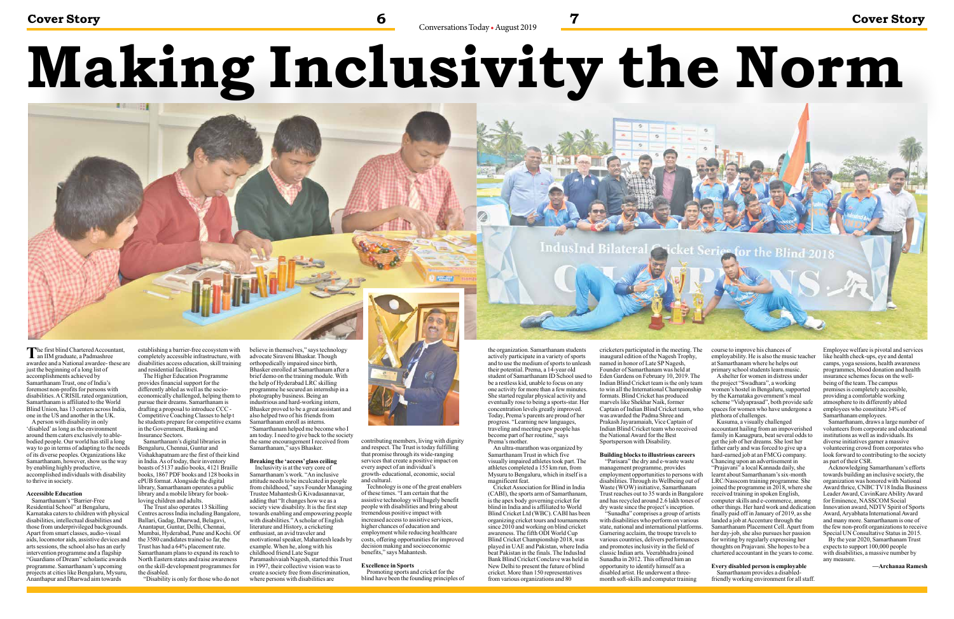**Making Inclusivity the Norm**

The first blind Chartered Accountant,<br>
an IIM graduate, a Padmashree awardee and a National awardee- these are just the beginning of a long list of accomplishments achieved by Samarthanam Trust, one of India's foremost non-profits for persons with disabilities. A CRISIL rated organization, Samarthanam is affiliated to the World Blind Union, has 13 centers across India, one in the US and another in the UK.

A person with disability in only 'disabled' as long as the environment around them caters exclusively to ablebodied people. Our world has still a long way to go in terms of adapting to the needs of its diverse peoples. Organizations like Samarthanam, however, show us the way by enabling highly productive, accomplished individuals with disability to thrive in society.

The Higher Education Programme provides financial support for the differently abled as well as the socioeconomically challenged, helping them to pursue their dreams. Samarthanam is drafting a proposal to introduce CCC - Competitive Coaching Classes to help t he students prepare for competitive exams in the Government, Banking and Insurance Sectors.

#### **Accessible Education**

Samarthanam's "Barrier-Free Residential School" at Bengaluru, Karnataka caters to children with physical disabilities, intellectual disabilities and those from underprivileged backgrounds. Apart from smart classes, audio-visual aids, locomotor aids, assistive devices and arts sessions, the school also has an early intervention programme and a flagship "Guardians of Dream" scholastic awards programme. Samarthanam's upcoming projects at cities like Bengaluru, Mysuru, Ananthapur and Dharwad aim towards

establishing a barrier-free ecosystem with completely accessible infrastructure, with disabilities access education, skill training and residential facilities.

> Inclusivity is at the very core of Samarthanam's work. "An inclusive attitude needs to be inculcated in people from childhood," says Founder Managing Trustee Mahantesh G Kivadasannavar, adding that "It changes how we as a society view disability. It is the first step towards enabling and empowering people with disabilities." A scholar of English literature and History, a cricketing enthusiast, an avid traveler and motivational speaker, Mahantesh leads by example. When he, along with his childhood friend Late Sugur Paramashivaiah Nagesh, started this Trust in 1997, their collective vision was to create a society free from discrimination, where persons with disabilities are



Samarthanam's digital libraries in Bengaluru, Chennai, Guntur and Vishakhapatnam are the first of their kind in India. As of today, their inventory boasts of 5137 audio books, 4121 Braille books, 1867 PDF books and 128 books in ePUB format. Alongside the digital library, Samarthanam operates a public library and a mobile library for bookloving children and adults.

The Trust also operates 13 Skilling Centres across India including Bangalore, Ballari, Gadag, Dharwad, Belagavi, Anantapur, Guntur, Delhi, Chennai, Mumbai, Hyderabad, Pune and Kochi. Of the 3580 candidates trained so far, the Trust has had a 64% placement rate. Samarthanam plans to expand its reach to North Eastern states and raise awareness on the skill-development programmes for the disabled.

"Disability is only for those who do not

believe in themselves," says technology advocate Siraveni Bhaskar. Though orthopedically impaired since birth, Bhasker enrolled at Samarthanam after a brief demo on the training module. With the help of Hyderabad LRC skilling programme he secured an internship in a photography business. Being an industrious and hard-working intern, Bhasker proved to be a great assistant and also helped two of his friends from Samarthanam enroll as interns. "Samarthanam helped me become who I am today. I need to give back to the society the same encouragement I received from Samarthanam," says Bhasker.

#### **Breaking the 'access' glass ceiling**

contributing members, living with dignity and respect. The Trust is today fulfilling that promise through its wide-ranging services that create a positive impact on every aspect of an individual's growth- educational, economic, social and cultural.

Employee welfare is pivotal and services like health check-ups, eye and dental camps, yoga sessions, health awareness programmes, blood donation and health insurance schemes focus on the wellbeing of the team. The campus premises is completely accessible, providing a comfortable working atmosphere to its differently abled employees who constitute 34% of Samarthanam employees.

Technology is one of the great enablers of these times. "I am certain that the assistive technology will hugely benefit people with disabilities and bring about tremendous positive impact with increased access to assistive services, higher chances of education and employment while reducing healthcare costs, offering opportunities for improved decision making and socioeconomic benefits," says Mahantesh.

#### **Excellence in Sports**

Promoting sports and cricket for the blind have been the founding principles of

the organization. Samarthanam students actively participate in a variety of sports and to use the medium of sports to unleash their potential. Prema, a 14-year old student of Samarthanam ID School used to be a restless kid, unable to focus on any one activity for more than a few minutes. She started regular physical activity and eventually rose to being a sports-star. Her concentration levels greatly improved. Today, Prema's parents are proud of her progress. "Learning new languages, traveling and meeting new people has become part of her routine," says Prema's mother.

An ultra-marathon was organized by Samarthanam Trust in which five visually impaired athletes took part. The athletes completed a 155 km run, from Mysuru to Bengaluru, which in itself is a magnificent feat.

Cricket Association for Blind in India (CABI), the sports arm of Samarthanam, is the apex body governing cricket for blind in India and is affiliated to World Blind Cricket Ltd (WBC). CABI has been organizing cricket tours and tournaments since 2010 and working on blind cricket awareness. The fifth ODI World Cup Blind Cricket Championship 2018, was played in UAE and Pakistan, where India beat Pakistan in the finals. The IndusInd Bank Blind Cricket Conclave was held in New Delhi to present the future of blind cricket. More than 150 representatives from various organizations and 80

IndusInd Bilateral cket Series for the Blind 2018

cricketers participated in the meeting. The inaugural edition of the Nagesh Trophy, named in honor of Late SP Nagesh, Founder of Samarthanam was held at Eden Gardens on February 10, 2019. The Indian Blind Cricket team is the only team to win all the International Championship formats. Blind Cricket has produced marvels like Shekhar Naik, former Captain of Indian Blind Cricket team, who was awarded the Padma Shree and Prakash Jayaramaiah, Vice Captain of Indian Blind Cricket team who received the National Award for the Best Sportsperson with Disability.

**Building blocks to illustrious careers** "Parisara" the dry and e-waste waste management programme, provides employment opportunities to persons with disabilities. Through its Wellbeing out of Waste (WOW) initiative, Samarthanam Trust reaches out to 35 wards in Bangalore and has recycled around 2.6 lakh tones of dry waste since the project's inception.

"Sunadha" comprises a group of artists with disabilities who perform on various state, national and international platforms. Garnering acclaim, the troupe travels to various countries, delivers performances and promotes inclusivity in the field of classic Indian arts. Veerabhadra joined Sunadha in 2012. This offered him an opportunity to identify himself as a disabled artist. He underwent a threemonth soft-skills and computer training

course to improve his chances of employability. He is also the music teacher at Samarthanam where he helps out primary school students learn music.

A shelter for women in distress under the project "Swadhara", a working women's hostel in Bengaluru, supported by the Karnataka government's meal scheme "Vidyaprasad", both provide safe spaces for women who have undergone a plethora of challenges.

Kusuma, a visually challenged accountant hailing from an impoverished family in Kanagpura, beat several odds to get the job of her dreams. She lost her father early and was forced to give up a hard-earned job at an FMCG company. Chancing upon an advertisement in "Prajavani" a local Kannada daily, she learnt about Samarthanam's six-month LRC/Nasscom training programme. She joined the programme in 2018, where she received training in spoken English, computer skills and e-commerce, among other things. Her hard work and dedication finally paid off in January of 2019, as she landed a job at Accenture through the Samarthanam Placement Cell. Apart from her day-job, she also pursues her passion for writing by regularly expressing her thoughts on Prajavani. She hopes to be a chartered accountant in the years to come.

**Every disabled person is employable** Samarthanam provides a disabledfriendly working environment for all staff.

Samarthanam, draws a large number of volunteers from corporate and educational institutions as well as individuals. Its diverse initiatives garner a massive volunteering crowd from corporates who look forward to contributing to the society as part of their CSR.

Acknowledging Samarthanam's efforts towards building an inclusive society, the organization was honored with National Award thrice, CNBC TV18 India Business Leader Award, CavinKare Ability Award for Eminence, NASSCOM Social Innovation award, NDTV Spirit of Sports Award, Aryabhata International Award and many more. Samarthanam is one of the few non-profit organizations to receive Special UN Consultative Status in 2015.

By the year 2020, Samarthanam Trust expects to support 100,000 people with disabilities, a massive number by any measure.

**—Archanaa Ramesh**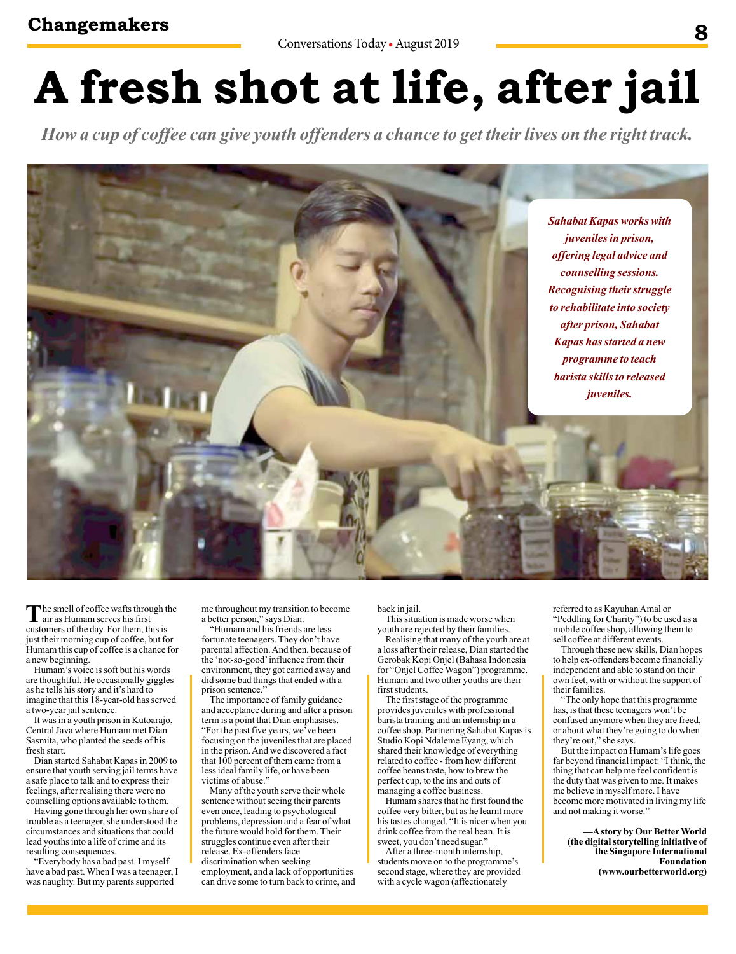# **Changemakers 8**<br> **8** Conversations Today • August 2019

# **A fresh shot at life, after jail**

*How a cup of coffee can give youth offenders a chance to get their lives on the right track.*



**T**he smell of coffee wafts through the air as Humam serves his first customers of the day. For them, this is just their morning cup of coffee, but for Humam this cup of coffee is a chance for a new beginning.

Humam's voice is soft but his words are thoughtful. He occasionally giggles as he tells his story and it's hard to imagine that this 18-year-old has served a two-year jail sentence.

It was in a youth prison in Kutoarajo, Central Java where Humam met Dian Sasmita, who planted the seeds of his fresh start.

Dian started Sahabat Kapas in 2009 to ensure that youth serving jail terms have a safe place to talk and to express their feelings, after realising there were no counselling options available to them.

Having gone through her own share of trouble as a teenager, she understood the circumstances and situations that could lead youths into a life of crime and its resulting consequences.

"Everybody has a bad past. I myself have a bad past. When I was a teenager, I was naughty. But my parents supported

me throughout my transition to become a better person," says Dian.

"Humam and his friends are less fortunate teenagers. They don't have parental affection. And then, because of the 'not-so-good' influence from their environment, they got carried away and did some bad things that ended with a prison sentence."

The importance of family guidance and acceptance during and after a prison term is a point that Dian emphasises. "For the past five years, we've been focusing on the juveniles that are placed in the prison. And we discovered a fact that 100 percent of them came from a less ideal family life, or have been victims of abuse."

Many of the youth serve their whole sentence without seeing their parents even once, leading to psychological problems, depression and a fear of what the future would hold for them. Their struggles continue even after their release. Ex-offenders face discrimination when seeking employment, and a lack of opportunities can drive some to turn back to crime, and back in jail.

This situation is made worse when youth are rejected by their families.

Realising that many of the youth are at a loss after their release, Dian started the Gerobak Kopi Onjel (Bahasa Indonesia for "Onjel Coffee Wagon") programme. Humam and two other youths are their first students.

The first stage of the programme provides juveniles with professional barista training and an internship in a coffee shop. Partnering Sahabat Kapas is Studio Kopi Ndaleme Eyang, which shared their knowledge of everything related to coffee - from how different coffee beans taste, how to brew the perfect cup, to the ins and outs of managing a coffee business.

Humam shares that he first found the coffee very bitter, but as he learnt more his tastes changed. "It is nicer when you drink coffee from the real bean. It is sweet, you don't need sugar.'

After a three-month internship, students move on to the programme's second stage, where they are provided with a cycle wagon (affectionately

referred to as Kayuhan Amal or "Peddling for Charity") to be used as a mobile coffee shop, allowing them to sell coffee at different events.

Through these new skills, Dian hopes to help ex-offenders become financially independent and able to stand on their own feet, with or without the support of their families.

"The only hope that this programme has, is that these teenagers won't be confused anymore when they are freed, or about what they're going to do when they're out," she says.

But the impact on Humam's life goes far beyond financial impact: "I think, the thing that can help me feel confident is the duty that was given to me. It makes me believe in myself more. I have become more motivated in living my life and not making it worse."

**—A story by Our Better World (the digital storytelling initiative of the Singapore International Foundation (www.ourbetterworld.org)**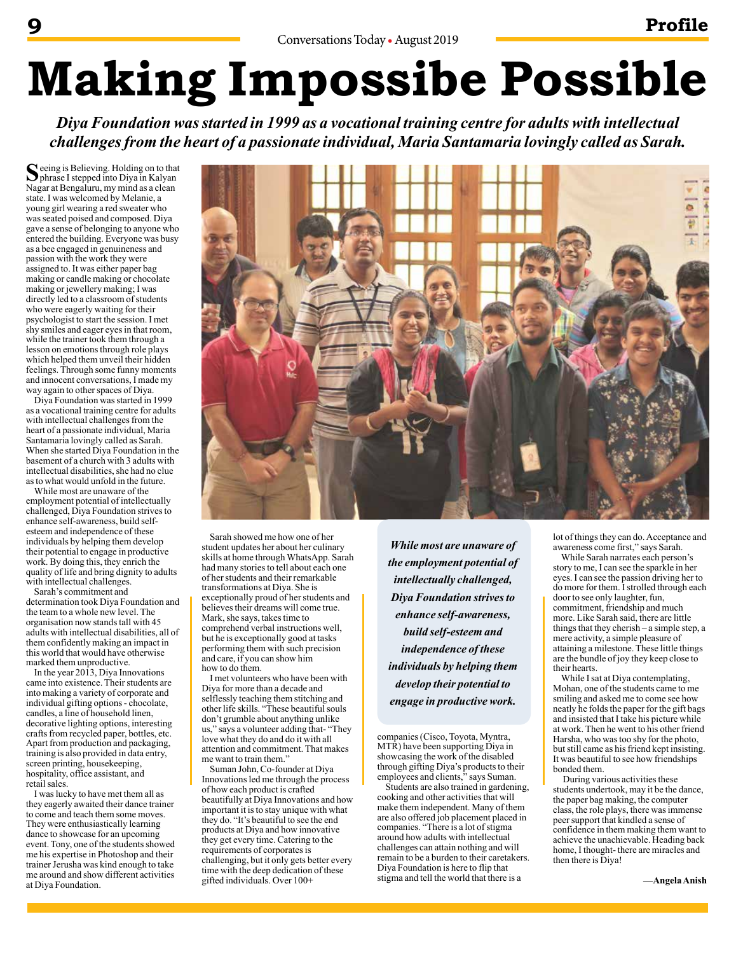# **Making Impossibe Possible**

*Diya Foundation was started in 1999 as a vocational training centre for adults with intellectual challenges from the heart of a passionate individual, Maria Santamaria lovingly called as Sarah.* 

Seeing is Believing. Holding on to that<br>
phrase I stepped into Diya in Kalyan Nagar at Bengaluru, my mind as a clean state. I was welcomed by Melanie, a young girl wearing a red sweater who was seated poised and composed. Diya gave a sense of belonging to anyone who entered the building. Everyone was busy as a bee engaged in genuineness and passion with the work they were assigned to. It was either paper bag making or candle making or chocolate making or jewellery making; I was directly led to a classroom of students who were eagerly waiting for their psychologist to start the session. I met shy smiles and eager eyes in that room, while the trainer took them through a lesson on emotions through role plays which helped them unveil their hidden feelings. Through some funny moments and innocent conversations, I made my way again to other spaces of Diya.

Diya Foundation was started in 1999 as a vocational training centre for adults with intellectual challenges from the heart of a passionate individual, Maria Santamaria lovingly called as Sarah. When she started Diya Foundation in the basement of a church with 3 adults with intellectual disabilities, she had no clue as to what would unfold in the future.

While most are unaware of the employment potential of intellectually challenged, Diya Foundation strives to enhance self-awareness, build selfesteem and independence of these individuals by helping them develop their potential to engage in productive work. By doing this, they enrich the quality of life and bring dignity to adults with intellectual challenges.

Sarah's commitment and determination took Diya Foundation and the team to a whole new level. The organisation now stands tall with 45 adults with intellectual disabilities, all of them confidently making an impact in this world that would have otherwise marked them unproductive.

In the year 2013, Diya Innovations came into existence. Their students are into making a variety of corporate and individual gifting options - chocolate, candles, a line of household linen, decorative lighting options, interesting crafts from recycled paper, bottles, etc. Apart from production and packaging, training is also provided in data entry, screen printing, housekeeping, hospitality, office assistant, and retail sales.

I was lucky to have met them all as they eagerly awaited their dance trainer to come and teach them some moves. They were enthusiastically learning dance to showcase for an upcoming event. Tony, one of the students showed me his expertise in Photoshop and their trainer Jerusha was kind enough to take me around and show different activities at Diya Foundation.



Sarah showed me how one of her student updates her about her culinary skills at home through WhatsApp. Sarah had many stories to tell about each one of her students and their remarkable transformations at Diya. She is exceptionally proud of her students and believes their dreams will come true. Mark, she says, takes time to comprehend verbal instructions well, but he is exceptionally good at tasks performing them with such precision and care, if you can show him how to do them.

I met volunteers who have been with Diya for more than a decade and selflessly teaching them stitching and other life skills. "These beautiful souls don't grumble about anything unlike us," says a volunteer adding that- "They love what they do and do it with all attention and commitment. That makes me want to train them.'

Suman John, Co-founder at Diya Innovations led me through the process of how each product is crafted beautifully at Diya Innovations and how important it is to stay unique with what they do. "It's beautiful to see the end products at Diya and how innovative they get every time. Catering to the requirements of corporates is challenging, but it only gets better every time with the deep dedication of these gifted individuals. Over 100+

*While most are unaware of the employment potential of intellectually challenged, Diya Foundation strives to enhance self-awareness, build self-esteem and independence of these individuals by helping them develop their potential to engage in productive work.*

companies (Cisco, Toyota, Myntra, MTR) have been supporting Diya in showcasing the work of the disabled through gifting Diya's products to their employees and clients," says Suman.

Students are also trained in gardening, cooking and other activities that will make them independent. Many of them are also offered job placement placed in companies. "There is a lot of stigma around how adults with intellectual challenges can attain nothing and will remain to be a burden to their caretakers. Diya Foundation is here to flip that stigma and tell the world that there is a

lot of things they can do. Acceptance and awareness come first," says Sarah.

While Sarah narrates each person's story to me, I can see the sparkle in her eyes. I can see the passion driving her to do more for them. I strolled through each door to see only laughter, fun, commitment, friendship and much more. Like Sarah said, there are little things that they cherish – a simple step, a mere activity, a simple pleasure of attaining a milestone. These little things are the bundle of joy they keep close to their hearts.

While I sat at Diya contemplating, Mohan, one of the students came to me smiling and asked me to come see how neatly he folds the paper for the gift bags and insisted that I take his picture while at work. Then he went to his other friend Harsha, who was too shy for the photo, but still came as his friend kept insisting. It was beautiful to see how friendships bonded them.

 During various activities these students undertook, may it be the dance, the paper bag making, the computer class, the role plays, there was immense peer support that kindled a sense of confidence in them making them want to achieve the unachievable. Heading back home, I thought- there are miracles and then there is Diya!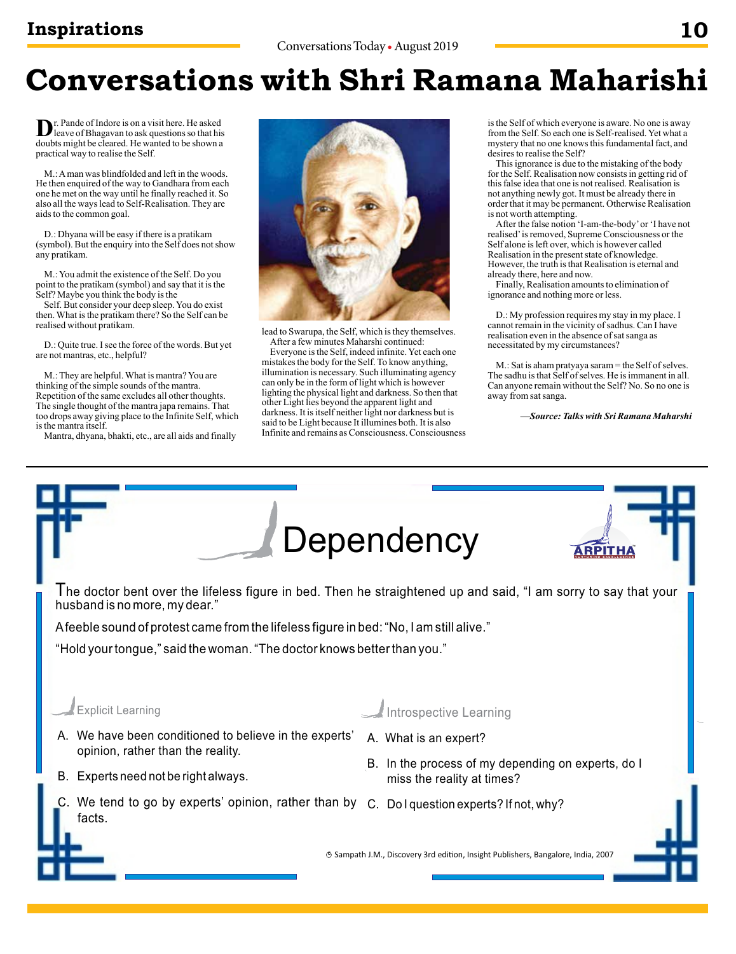### **Inspirations 10**

## **Conversations with Shri Ramana Maharishi**

**D**r. Pande of Indore is on a visit here. He asked<br>leave of Bhagavan to ask questions so that his doubts might be cleared. He wanted to be shown a practical way to realise the Self.

M.: A man was blindfolded and left in the woods. He then enquired of the way to Gandhara from each one he met on the way until he finally reached it. So also all the ways lead to Self-Realisation. They are aids to the common goal.

D.: Dhyana will be easy if there is a pratikam (symbol). But the enquiry into the Self does not show any pratikam.

M.: You admit the existence of the Self. Do you point to the pratikam (symbol) and say that it is the Self? Maybe you think the body is the

Self. But consider your deep sleep. You do exist then. What is the pratikam there? So the Self can be realised without pratikam.

D.: Quite true. I see the force of the words. But yet are not mantras, etc., helpful?

M.: They are helpful. What is mantra? You are thinking of the simple sounds of the mantra. Repetition of the same excludes all other thoughts. The single thought of the mantra japa remains. That too drops away giving place to the Infinite Self, which is the mantra itself.

Mantra, dhyana, bhakti, etc., are all aids and finally



lead to Swarupa, the Self, which is they themselves. After a few minutes Maharshi continued:

Everyone is the Self, indeed infinite. Yet each one mistakes the body for the Self. To know anything, illumination is necessary. Such illuminating agency can only be in the form of light which is however lighting the physical light and darkness. So then that other Light lies beyond the apparent light and darkness. It is itself neither light nor darkness but is said to be Light because It illumines both. It is also Infinite and remains as Consciousness. Consciousness

is the Self of which everyone is aware. No one is away from the Self. So each one is Self-realised. Yet what a mystery that no one knows this fundamental fact, and desires to realise the Self?

This ignorance is due to the mistaking of the body for the Self. Realisation now consists in getting rid of this false idea that one is not realised. Realisation is not anything newly got. It must be already there in order that it may be permanent. Otherwise Realisation is not worth attempting.

After the false notion 'I-am-the-body' or 'I have not realised' is removed, Supreme Consciousness or the Self alone is left over, which is however called Realisation in the present state of knowledge. However, the truth is that Realisation is eternal and already there, here and now.

Finally, Realisation amounts to elimination of ignorance and nothing more or less.

D.: My profession requires my stay in my place. I cannot remain in the vicinity of sadhus. Can I have realisation even in the absence of sat sanga as necessitated by my circumstances?

M.: Sat is aham pratyaya saram = the Self of selves. The sadhu is that Self of selves. He is immanent in all. Can anyone remain without the Self? No. So no one is away from sat sanga.

*—Source: Talks with Sri Ramana Maharshi*

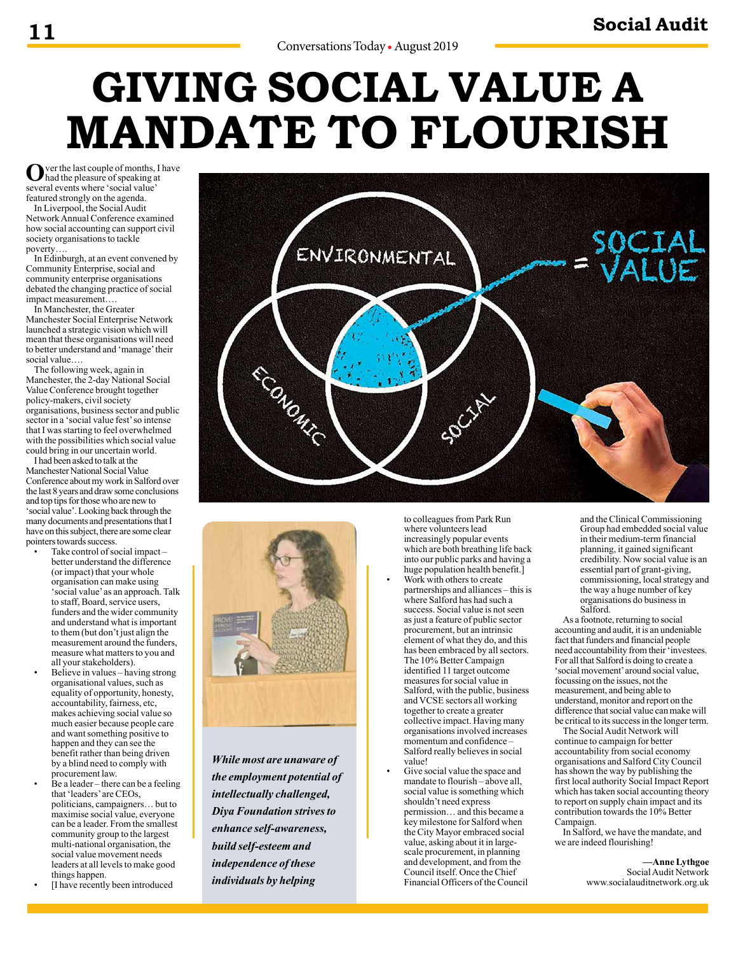# **GIVING SOCIAL VALUE A MANDATE TO FLOURISH**

Over the last couple of months, I have<br>had the pleasure of speaking at<br>example we take the speaking in the speaking of several events where 'social value' featured strongly on the agenda.

In Liverpool, the Social Audit Network Annual Conference examined how social accounting can support civil society organisations to tackle poverty….

In Edinburgh, at an event convened by Community Enterprise, social and community enterprise organisations debated the changing practice of social impact measurement….

In Manchester, the Greater Manchester Social Enterprise Network launched a strategic vision which will mean that these organisations will need to better understand and 'manage' their social value….

The following week, again in Manchester, the 2-day National Social Value Conference brought together policy-makers, civil society organisations, business sector and public sector in a 'social value fest' so intense that I was starting to feel overwhelmed with the possibilities which social value could bring in our uncertain world.

I had been asked to talk at the Manchester National Social Value Conference about my work in Salford over the last 8 years and draw some conclusions and top tips for those who are new to 'social value'. Looking back through the many documents and presentations that I have on this subject, there are some clear pointers towards success.

- Take control of social impact better understand the difference (or impact) that your whole organisation can make using 'social value' as an approach. Talk to staff, Board, service users, funders and the wider community and understand what is important to them (but don't just align the measurement around the funders, measure what matters to you and all your stakeholders).
- Believe in values having strong organisational values, such as equality of opportunity, honesty, accountability, fairness, etc, makes achieving social value so much easier because people care and want something positive to happen and they can see the benefit rather than being driven by a blind need to comply with procurement law.
- Be a leader there can be a feeling that 'leaders' are CEOs, politicians, campaigners… but to maximise social value, everyone can be a leader. From the smallest community group to the largest multi-national organisation, the social value movement needs leaders at all levels to make good things happen.
- I have recently been introduced





*While most are unaware of the employment potential of intellectually challenged, Diya Foundation strives to enhance self-awareness, build self-esteem and independence of these individuals by helping*

to colleagues from Park Run where volunteers lead increasingly popular events which are both breathing life back into our public parks and having a huge population health benefit.]

- Work with others to create partnerships and alliances – this is where Salford has had such a success. Social value is not seen as just a feature of public sector procurement, but an intrinsic element of what they do, and this has been embraced by all sectors. The 10% Better Campaign identified 11 target outcome measures for social value in Salford, with the public, business and VCSE sectors all working together to create a greater collective impact. Having many organisations involved increases momentum and confidence – Salford really believes in social value!
- Give social value the space and mandate to flourish – above all, social value is something which shouldn't need express permission… and this became a key milestone for Salford when the City Mayor embraced social value, asking about it in largescale procurement, in planning and development, and from the Council itself. Once the Chief Financial Officers of the Council

and the Clinical Commissioning Group had embedded social value in their medium-term financial planning, it gained significant credibility. Now social value is an essential part of grant-giving, commissioning, local strategy and the way a huge number of key organisations do business in Salford.

As a footnote, returning to social accounting and audit, it is an undeniable fact that funders and financial people need accountability from their 'investees. For all that Salford is doing to create a 'social movement' around social value, focussing on the issues, not the measurement, and being able to understand, monitor and report on the difference that social value can make will be critical to its success in the longer term.

The Social Audit Network will continue to campaign for better accountability from social economy organisations and Salford City Council has shown the way by publishing the first local authority Social Impact Report which has taken social accounting theory to report on supply chain impact and its contribution towards the 10% Better **Campaign** 

In Salford, we have the mandate, and we are indeed flourishing!

#### **—Anne Lythgoe** Social Audit Network www.socialauditnetwork.org.uk